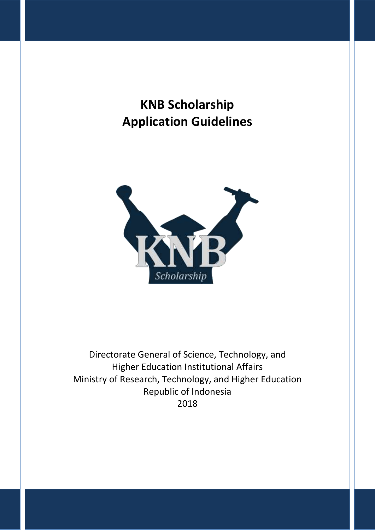# **KNB Scholarship Application Guidelines**



Directorate General of Science, Technology, and Higher Education Institutional Affairs Ministry of Research, Technology, and Higher Education Republic of Indonesia 2018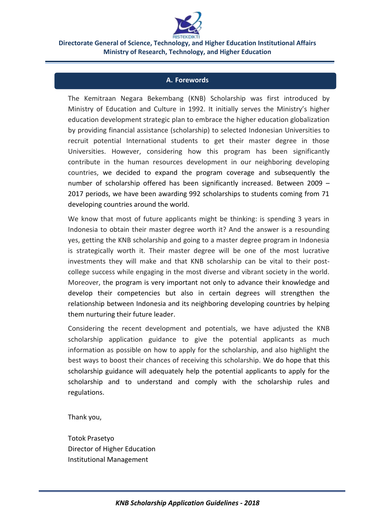

#### **A. Forewords**

The Kemitraan Negara Bekembang (KNB) Scholarship was first introduced by Ministry of Education and Culture in 1992. It initially serves the Ministry's higher education development strategic plan to embrace the higher education globalization by providing financial assistance (scholarship) to selected Indonesian Universities to recruit potential International students to get their master degree in those Universities. However, considering how this program has been significantly contribute in the human resources development in our neighboring developing countries, we decided to expand the program coverage and subsequently the number of scholarship offered has been significantly increased. Between 2009 – 2017 periods, we have been awarding 992 scholarships to students coming from 71 developing countries around the world.

We know that most of future applicants might be thinking: is spending 3 years in Indonesia to obtain their master degree worth it? And the answer is a resounding yes, getting the KNB scholarship and going to a master degree program in Indonesia is strategically worth it. Their master degree will be one of the most lucrative investments they will make and that KNB scholarship can be vital to their postcollege success while engaging in the most diverse and vibrant society in the world. Moreover, the program is very important not only to advance their knowledge and develop their competencies but also in certain degrees will strengthen the relationship between Indonesia and its neighboring developing countries by helping them nurturing their future leader.

Considering the recent development and potentials, we have adjusted the KNB scholarship application guidance to give the potential applicants as much information as possible on how to apply for the scholarship, and also highlight the best ways to boost their chances of receiving this scholarship. We do hope that this scholarship guidance will adequately help the potential applicants to apply for the scholarship and to understand and comply with the scholarship rules and regulations.

Thank you,

Totok Prasetyo Director of Higher Education Institutional Management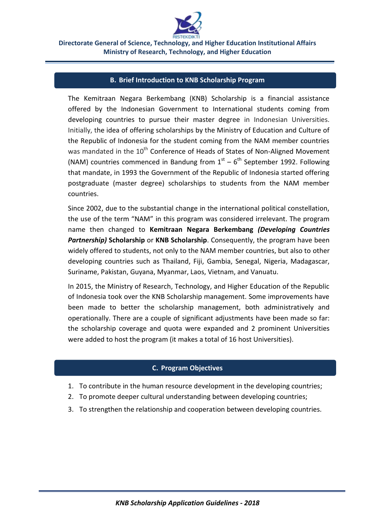

#### **B. Brief Introduction to KNB Scholarship Program**

The Kemitraan Negara Berkembang (KNB) Scholarship is a financial assistance offered by the Indonesian Government to International students coming from developing countries to pursue their master degree in Indonesian Universities. Initially, the idea of offering scholarships by the Ministry of Education and Culture of the Republic of Indonesia for the student coming from the NAM member countries was mandated in the  $10^{th}$  Conference of Heads of States of Non-Aligned Movement (NAM) countries commenced in Bandung from  $1<sup>st</sup> - 6<sup>th</sup>$  September 1992. Following that mandate, in 1993 the Government of the Republic of Indonesia started offering postgraduate (master degree) scholarships to students from the NAM member countries.

Since 2002, due to the substantial change in the international political constellation, the use of the term "NAM" in this program was considered irrelevant. The program name then changed to **Kemitraan Negara Berkembang** *(Developing Countries Partnership)* **Scholarship** or **KNB Scholarship**. Consequently, the program have been widely offered to students, not only to the NAM member countries, but also to other developing countries such as Thailand, Fiji, Gambia, Senegal, Nigeria, Madagascar, Suriname, Pakistan, Guyana, Myanmar, Laos, Vietnam, and Vanuatu.

In 2015, the Ministry of Research, Technology, and Higher Education of the Republic of Indonesia took over the KNB Scholarship management. Some improvements have been made to better the scholarship management, both administratively and operationally. There are a couple of significant adjustments have been made so far: the scholarship coverage and quota were expanded and 2 prominent Universities were added to host the program (it makes a total of 16 host Universities).

# **C. Program Objectives**

- 1. To contribute in the human resource development in the developing countries;
- 2. To promote deeper cultural understanding between developing countries;
- 3. To strengthen the relationship and cooperation between developing countries.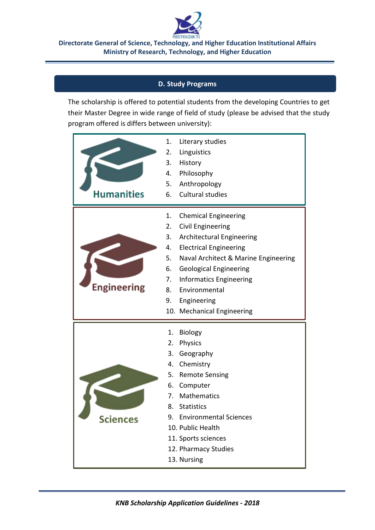

# **D. Study Programs**

The scholarship is offered to potential students from the developing Countries to get their Master Degree in wide range of field of study (please be advised that the study program offered is differs between university):

| Literary studies<br>1.<br>2.<br>Linguistics<br>3.<br>History |  |
|--------------------------------------------------------------|--|
|                                                              |  |
|                                                              |  |
| 4.<br>Philosophy                                             |  |
| Anthropology<br>5.                                           |  |
| <b>Humanities</b><br><b>Cultural studies</b><br>6.           |  |
|                                                              |  |
| <b>Chemical Engineering</b><br>1.                            |  |
| 2.<br>Civil Engineering                                      |  |
| 3.<br><b>Architectural Engineering</b>                       |  |
| <b>Electrical Engineering</b><br>4.                          |  |
| 5.<br>Naval Architect & Marine Engineering                   |  |
| 6.<br><b>Geological Engineering</b>                          |  |
| 7.<br><b>Informatics Engineering</b>                         |  |
| <b>Engineering</b><br>8.<br>Environmental                    |  |
| 9.<br>Engineering                                            |  |
| 10. Mechanical Engineering                                   |  |
|                                                              |  |
|                                                              |  |
| <b>Biology</b><br>1.                                         |  |
| Physics<br>2.                                                |  |
| Geography<br>3.                                              |  |
| 4. Chemistry<br>5.                                           |  |
| <b>Remote Sensing</b>                                        |  |
| 6. Computer<br><b>Mathematics</b><br>7.                      |  |
| <b>Statistics</b><br>8.                                      |  |
| 9.<br><b>Environmental Sciences</b>                          |  |
| <b>Sciences</b><br>10. Public Health                         |  |
| 11. Sports sciences                                          |  |
| 12. Pharmacy Studies                                         |  |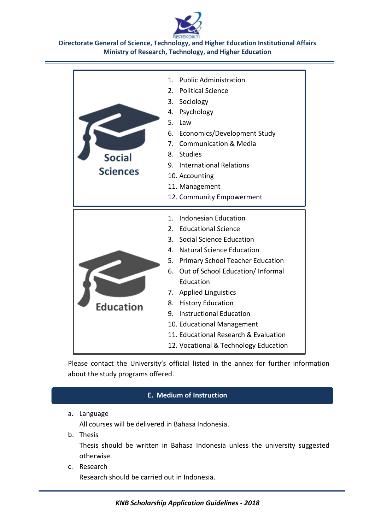

|  |                                  | <b>Public Administration</b><br>1.            |
|--|----------------------------------|-----------------------------------------------|
|  | <b>Social</b><br><b>Sciences</b> | 2.<br><b>Political Science</b>                |
|  |                                  | 3.<br>Sociology                               |
|  |                                  | Psychology<br>4.                              |
|  |                                  | 5.<br>Law                                     |
|  |                                  | 6.<br>Economics/Development Study             |
|  |                                  | <b>Communication &amp; Media</b><br>7.        |
|  |                                  | <b>Studies</b><br>8.                          |
|  |                                  | <b>International Relations</b><br>9.          |
|  |                                  | 10. Accounting                                |
|  |                                  | 11. Management                                |
|  |                                  | 12. Community Empowerment                     |
|  |                                  |                                               |
|  |                                  |                                               |
|  |                                  | <b>Indonesian Education</b><br>$\mathbf 1$    |
|  |                                  | <b>Educational Science</b><br>2.              |
|  |                                  | <b>Social Science Education</b><br>3.         |
|  |                                  | <b>Natural Science Education</b><br>4.        |
|  |                                  | 5.<br><b>Primary School Teacher Education</b> |
|  |                                  | Out of School Education/ Informal<br>6.       |
|  |                                  | Education                                     |
|  |                                  | <b>Applied Linguistics</b><br>7.              |
|  |                                  | <b>History Education</b><br>8.                |
|  | <b>Education</b>                 | <b>Instructional Education</b><br>9.          |
|  |                                  | 10. Educational Management                    |
|  |                                  | 11. Educational Research & Evaluation         |
|  |                                  | 12. Vocational & Technology Education         |

Please contact the University's official listed in the annex for further information about the study programs offered.

#### **E. Medium of Instruction**

a. Language

All courses will be delivered in Bahasa Indonesia.

b. Thesis

Thesis should be written in Bahasa Indonesia unless the university suggested otherwise.

c. Research

Research should be carried out in Indonesia.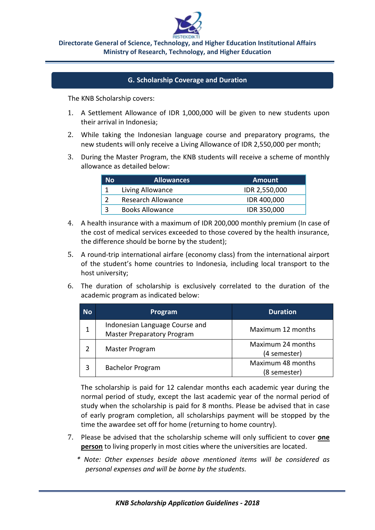

#### **G. Scholarship Coverage and Duration**

**F.**

The KNB Scholarship covers:

- 1. A Settlement Allowance of IDR 1,000,000 will be given to new students upon their arrival in Indonesia;
- 2. While taking the Indonesian language course and preparatory programs, the new students will only receive a Living Allowance of IDR 2,550,000 per month;
- 3. During the Master Program, the KNB students will receive a scheme of monthly allowance as detailed below:

| Nο | <b>Allowances</b>      | <b>Amount</b> |
|----|------------------------|---------------|
|    | Living Allowance       | IDR 2,550,000 |
|    | Research Allowance     | IDR 400,000   |
|    | <b>Books Allowance</b> | IDR 350,000   |

- 4. A health insurance with a maximum of IDR 200,000 monthly premium (In case of the cost of medical services exceeded to those covered by the health insurance, the difference should be borne by the student);
- 5. A round-trip international airfare (economy class) from the international airport of the student's home countries to Indonesia, including local transport to the host university;
- 6. The duration of scholarship is exclusively correlated to the duration of the academic program as indicated below:

| <b>No</b> | Program                                                             | <b>Duration</b>                   |
|-----------|---------------------------------------------------------------------|-----------------------------------|
|           | Indonesian Language Course and<br><b>Master Preparatory Program</b> | Maximum 12 months                 |
|           | Master Program                                                      | Maximum 24 months<br>(4 semester) |
|           | <b>Bachelor Program</b>                                             | Maximum 48 months<br>(8 semester) |

The scholarship is paid for 12 calendar months each academic year during the normal period of study, except the last academic year of the normal period of study when the scholarship is paid for 8 months. Please be advised that in case of early program completion, all scholarships payment will be stopped by the time the awardee set off for home (returning to home country).

- 7. Please be advised that the scholarship scheme will only sufficient to cover **one person** to living properly in most cities where the universities are located.
	- *\* Note: Other expenses beside above mentioned items will be considered as personal expenses and will be borne by the students.*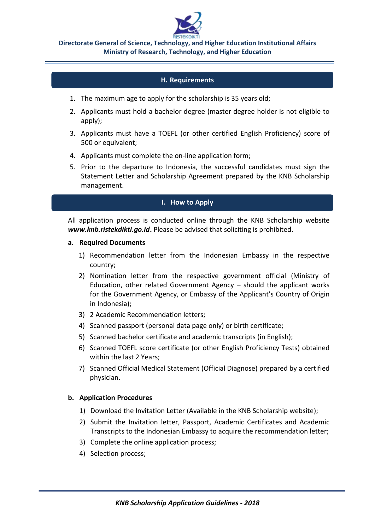

#### **H. Requirements**

- 1. The maximum age to apply for the scholarship is 35 years old;
- 2. Applicants must hold a bachelor degree (master degree holder is not eligible to apply);
- 3. Applicants must have a TOEFL (or other certified English Proficiency) score of 500 or equivalent;
- 4. Applicants must complete the on-line application form;
- 5. Prior to the departure to Indonesia, the successful candidates must sign the Statement Letter and Scholarship Agreement prepared by the KNB Scholarship management.

# **I. How to Apply**

All application process is conducted online through the KNB Scholarship website *www.knb.ristekdikti.go.id***.** Please be advised that soliciting is prohibited.

#### **a. Required Documents**

- 1) Recommendation letter from the Indonesian Embassy in the respective country;
- 2) Nomination letter from the respective government official (Ministry of Education, other related Government Agency – should the applicant works for the Government Agency, or Embassy of the Applicant's Country of Origin in Indonesia);
- 3) 2 Academic Recommendation letters;
- 4) Scanned passport (personal data page only) or birth certificate;
- 5) Scanned bachelor certificate and academic transcripts (in English);
- 6) Scanned TOEFL score certificate (or other English Proficiency Tests) obtained within the last 2 Years;
- 7) Scanned Official Medical Statement (Official Diagnose) prepared by a certified physician.

#### **b. Application Procedures**

- 1) Download the Invitation Letter (Available in the KNB Scholarship website);
- 2) Submit the Invitation letter, Passport, Academic Certificates and Academic Transcripts to the Indonesian Embassy to acquire the recommendation letter;
- 3) Complete the online application process;
- 4) Selection process;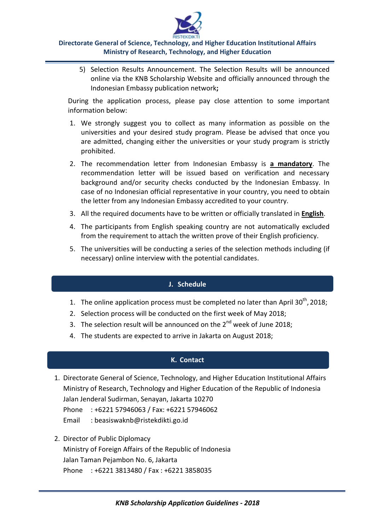

5) Selection Results Announcement. The Selection Results will be announced online via the KNB Scholarship Website and officially announced through the Indonesian Embassy publication network**;**

During the application process, please pay close attention to some important information below:

- 1. We strongly suggest you to collect as many information as possible on the universities and your desired study program. Please be advised that once you are admitted, changing either the universities or your study program is strictly prohibited.
- 2. The recommendation letter from Indonesian Embassy is **a mandatory**. The recommendation letter will be issued based on verification and necessary background and/or security checks conducted by the Indonesian Embassy. In case of no Indonesian official representative in your country, you need to obtain the letter from any Indonesian Embassy accredited to your country.
- 3. All the required documents have to be written or officially translated in **English**.
- 4. The participants from English speaking country are not automatically excluded from the requirement to attach the written prove of their English proficiency.
- 5. The universities will be conducting a series of the selection methods including (if necessary) online interview with the potential candidates.

# **J. Schedule**

- 1. The online application process must be completed no later than April 30<sup>th</sup>, 2018;
- 2. Selection process will be conducted on the first week of May 2018;
- 3. The selection result will be announced on the  $2^{nd}$  week of June 2018;
- 4. The students are expected to arrive in Jakarta on August 2018;

# **K. Contact**

- 1. Directorate General of Science, Technology, and Higher Education Institutional Affairs Ministry of Research, Technology and Higher Education of the Republic of Indonesia Jalan Jenderal Sudirman, Senayan, Jakarta 10270 Phone : +6221 57946063 / Fax: +6221 57946062
	- Email : beasiswaknb@ristekdikti.go.id
- 2. Director of Public Diplomacy Ministry of Foreign Affairs of the Republic of Indonesia Jalan Taman Pejambon No. 6, Jakarta Phone : +6221 3813480 / Fax : +6221 3858035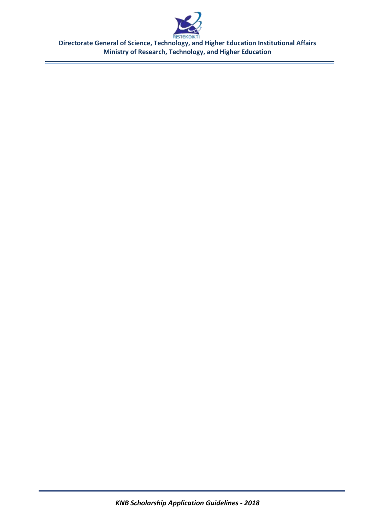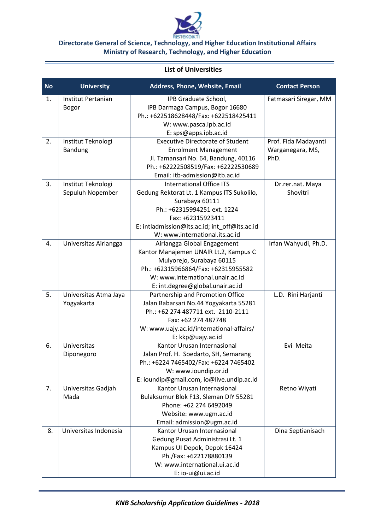

#### **List of Universities**

| <b>No</b> | <b>University</b>                      | Address, Phone, Website, Email                                                                                                                                                                                                         | <b>Contact Person</b>                            |
|-----------|----------------------------------------|----------------------------------------------------------------------------------------------------------------------------------------------------------------------------------------------------------------------------------------|--------------------------------------------------|
| 1.        | Institut Pertanian<br>Bogor            | IPB Graduate School,<br>IPB Darmaga Campus, Bogor 16680<br>Ph.: +622518628448/Fax: +622518425411<br>W: www.pasca.ipb.ac.id<br>E: sps@apps.ipb.ac.id                                                                                    | Fatmasari Siregar, MM                            |
| 2.        | Institut Teknologi<br><b>Bandung</b>   | <b>Executive Directorate of Student</b><br><b>Enrolment Management</b><br>Jl. Tamansari No. 64, Bandung, 40116<br>Ph.: +62222508519/Fax: +62222530689<br>Email: itb-admission@itb.ac.id                                                | Prof. Fida Madayanti<br>Warganegara, MS,<br>PhD. |
| 3.        | Institut Teknologi<br>Sepuluh Nopember | <b>International Office ITS</b><br>Gedung Rektorat Lt. 1 Kampus ITS Sukolilo,<br>Surabaya 60111<br>Ph.: +62315994251 ext. 1224<br>Fax: +62315923411<br>E: intladmission@its.ac.id; int_off@its.ac.id<br>W: www.international.its.ac.id | Dr.rer.nat. Maya<br>Shovitri                     |
| 4.        | Universitas Airlangga                  | Airlangga Global Engagement<br>Kantor Manajemen UNAIR Lt.2, Kampus C<br>Mulyorejo, Surabaya 60115<br>Ph.: +62315966864/Fax: +62315955582<br>W: www.international.unair.ac.id<br>E: int.degree@global.unair.ac.id                       | Irfan Wahyudi, Ph.D.                             |
| 5.        | Universitas Atma Jaya<br>Yogyakarta    | Partnership and Promotion Office<br>Jalan Babarsari No.44 Yogyakarta 55281<br>Ph.: +62 274 487711 ext. 2110-2111<br>Fax: +62 274 487748<br>W: www.uajy.ac.id/international-affairs/<br>E: kkp@uajy.ac.id                               | L.D. Rini Harjanti                               |
| 6.        | Universitas<br>Diponegoro              | Kantor Urusan Internasional<br>Jalan Prof. H. Soedarto, SH, Semarang<br>Ph.: +6224 7465402/Fax: +6224 7465402<br>W: www.ioundip.or.id<br>E: ioundip@gmail.com, io@live.undip.ac.id                                                     | Evi Meita                                        |
| 7.        | Universitas Gadjah<br>Mada             | Kantor Urusan Internasional<br>Bulaksumur Blok F13, Sleman DIY 55281<br>Phone: +62 274 6492049<br>Website: www.ugm.ac.id<br>Email: admission@ugm.ac.id                                                                                 | Retno Wiyati                                     |
| 8.        | Universitas Indonesia                  | Kantor Urusan Internasional<br>Gedung Pusat Administrasi Lt. 1<br>Kampus UI Depok, Depok 16424<br>Ph./Fax: +622178880139<br>W: www.international.ui.ac.id<br>E: io-ui@ui.ac.id                                                         | Dina Septianisach                                |